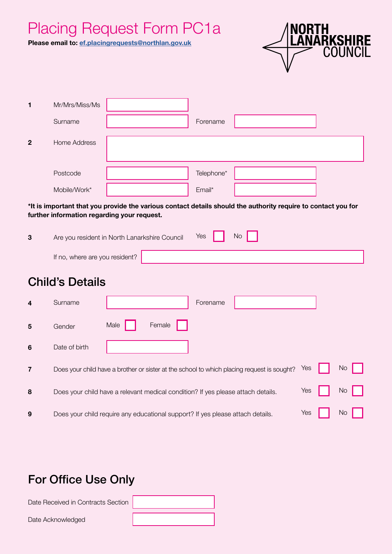# Placing Request Form PC1a

**Please email to: [ef.placingrequests@northlan.gov.uk](mailto:ef.placingrequests@northlan.gov.uk)**



| 1            | Mr/Mrs/Miss/Ms |            |  |
|--------------|----------------|------------|--|
|              | Surname        | Forename   |  |
| $\mathbf{2}$ | Home Address   |            |  |
|              | Postcode       | Telephone* |  |
|              | Mobile/Work*   | Email*     |  |

#### **\*It is important that you provide the various contact details should the authority require to contact you for further information regarding your request.**

| 3 | Are you resident in North Lanarkshire Council | Yes | <b>No</b> |  |  |
|---|-----------------------------------------------|-----|-----------|--|--|
|   | If no, where are you resident? $\vert$        |     |           |  |  |

# Child's Details

| 4 | Surname                                                                          |      |        | Forename |                                                                                            |     |           |
|---|----------------------------------------------------------------------------------|------|--------|----------|--------------------------------------------------------------------------------------------|-----|-----------|
| 5 | Gender                                                                           | Male | Female |          |                                                                                            |     |           |
| 6 | Date of birth                                                                    |      |        |          |                                                                                            |     |           |
| 7 |                                                                                  |      |        |          | Does your child have a brother or sister at the school to which placing request is sought? | Yes | <b>No</b> |
| 8 | Does your child have a relevant medical condition? If yes please attach details. |      |        |          |                                                                                            | Yes | No        |
| 9 | Does your child require any educational support? If yes please attach details.   |      |        |          |                                                                                            | Yes | No        |

# For Office Use Only

Date Received in Contracts Section Date Acknowledged